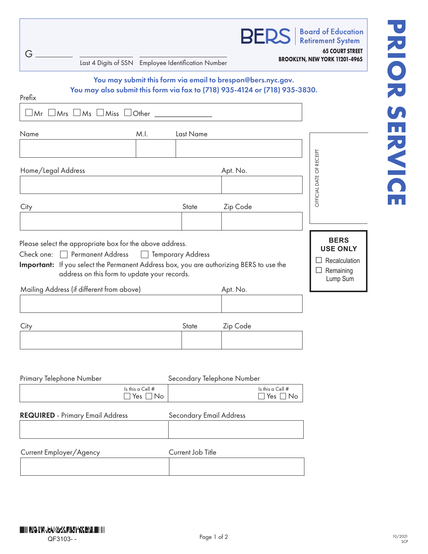| G<br>Last 4 Digits of SSN Employee Identification Number                                                                                                                                                                                                |                                   |                                |                            |                                   | <b>BERS</b>   Board of Education<br><b>65 COURT STREET</b><br>BROOKLYN, NEW YORK 11201-4965 |
|---------------------------------------------------------------------------------------------------------------------------------------------------------------------------------------------------------------------------------------------------------|-----------------------------------|--------------------------------|----------------------------|-----------------------------------|---------------------------------------------------------------------------------------------|
| You may submit this form via email to brespon@bers.nyc.gov.<br>You may also submit this form via fax to (718) 935-4124 or (718) 935-3830.<br>Prefix                                                                                                     |                                   |                                |                            |                                   |                                                                                             |
| $\Box$ Mr $\Box$ Mrs $\Box$ Ms $\Box$ Miss $\Box$ Other $\Box$                                                                                                                                                                                          |                                   |                                |                            |                                   |                                                                                             |
| Name                                                                                                                                                                                                                                                    | M.I.                              | Last Name                      |                            |                                   |                                                                                             |
|                                                                                                                                                                                                                                                         |                                   |                                |                            |                                   |                                                                                             |
| Home/Legal Address                                                                                                                                                                                                                                      |                                   |                                | Apt. No.                   |                                   | OFICIAL DATE OF RECEIPT                                                                     |
|                                                                                                                                                                                                                                                         |                                   |                                |                            |                                   |                                                                                             |
| City                                                                                                                                                                                                                                                    |                                   | State                          | Zip Code                   |                                   |                                                                                             |
|                                                                                                                                                                                                                                                         |                                   |                                |                            |                                   |                                                                                             |
| Please select the appropriate box for the above address.<br>Check one: Permanent Address D Temporary Address<br>Important: If you select the Permanent Address box, you are authorizing BERS to use the<br>address on this form to update your records. |                                   |                                |                            |                                   | <b>BERS</b><br><b>USE ONLY</b><br>Recalculation<br>Remaining<br>⊔<br>Lump Sum               |
| Mailing Address (if different from above)                                                                                                                                                                                                               |                                   |                                | Apt. No.                   |                                   |                                                                                             |
| City                                                                                                                                                                                                                                                    |                                   | State                          | Zip Code                   |                                   |                                                                                             |
|                                                                                                                                                                                                                                                         |                                   |                                |                            |                                   |                                                                                             |
| Primary Telephone Number                                                                                                                                                                                                                                |                                   |                                | Secondary Telephone Number |                                   |                                                                                             |
|                                                                                                                                                                                                                                                         | Is this a Cell #<br>Yes $\Box$ No |                                |                            | Is this a Cell #<br>Yes $\Box$ No |                                                                                             |
| <b>REQUIRED</b> - Primary Email Address                                                                                                                                                                                                                 |                                   | <b>Secondary Email Address</b> |                            |                                   |                                                                                             |
| Current Employer/Agency                                                                                                                                                                                                                                 |                                   | Current Job Title              |                            |                                   |                                                                                             |